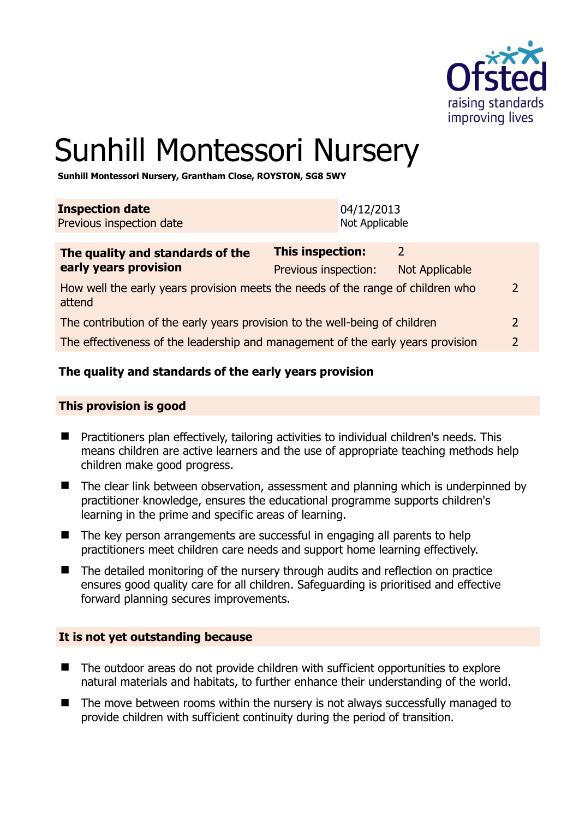

# Sunhill Montessori Nursery

**Sunhill Montessori Nursery, Grantham Close, ROYSTON, SG8 5WY** 

| <b>Inspection date</b><br>Previous inspection date                                        | 04/12/2013<br>Not Applicable                    |                                         |                |
|-------------------------------------------------------------------------------------------|-------------------------------------------------|-----------------------------------------|----------------|
| The quality and standards of the<br>early years provision                                 | <b>This inspection:</b><br>Previous inspection: | $\overline{2}$<br><b>Not Applicable</b> |                |
| How well the early years provision meets the needs of the range of children who<br>attend |                                                 |                                         | $\overline{2}$ |
| The contribution of the early years provision to the well-being of children               |                                                 |                                         | $\overline{2}$ |
| The effectiveness of the leadership and management of the early years provision           |                                                 |                                         | $\overline{2}$ |

# **The quality and standards of the early years provision**

#### **This provision is good**

- Practitioners plan effectively, tailoring activities to individual children's needs. This means children are active learners and the use of appropriate teaching methods help children make good progress.
- The clear link between observation, assessment and planning which is underpinned by practitioner knowledge, ensures the educational programme supports children's learning in the prime and specific areas of learning.
- The key person arrangements are successful in engaging all parents to help practitioners meet children care needs and support home learning effectively.
- The detailed monitoring of the nursery through audits and reflection on practice ensures good quality care for all children. Safeguarding is prioritised and effective forward planning secures improvements.

#### **It is not yet outstanding because**

- The outdoor areas do not provide children with sufficient opportunities to explore natural materials and habitats, to further enhance their understanding of the world.
- The move between rooms within the nursery is not always successfully managed to provide children with sufficient continuity during the period of transition.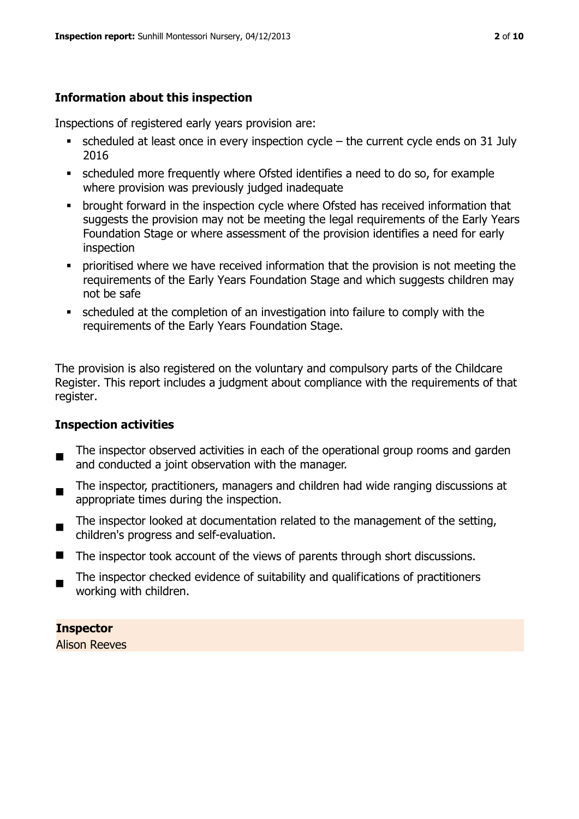# **Information about this inspection**

Inspections of registered early years provision are:

- scheduled at least once in every inspection cycle the current cycle ends on 31 July 2016
- scheduled more frequently where Ofsted identifies a need to do so, for example where provision was previously judged inadequate
- **•** brought forward in the inspection cycle where Ofsted has received information that suggests the provision may not be meeting the legal requirements of the Early Years Foundation Stage or where assessment of the provision identifies a need for early inspection
- **•** prioritised where we have received information that the provision is not meeting the requirements of the Early Years Foundation Stage and which suggests children may not be safe
- scheduled at the completion of an investigation into failure to comply with the requirements of the Early Years Foundation Stage.

The provision is also registered on the voluntary and compulsory parts of the Childcare Register. This report includes a judgment about compliance with the requirements of that register.

# **Inspection activities**

- п The inspector observed activities in each of the operational group rooms and garden and conducted a joint observation with the manager.
- The inspector, practitioners, managers and children had wide ranging discussions at appropriate times during the inspection.
- $\blacksquare$ The inspector looked at documentation related to the management of the setting, children's progress and self-evaluation.
- The inspector took account of the views of parents through short discussions.
- The inspector checked evidence of suitability and qualifications of practitioners working with children.

**Inspector** 

Alison Reeves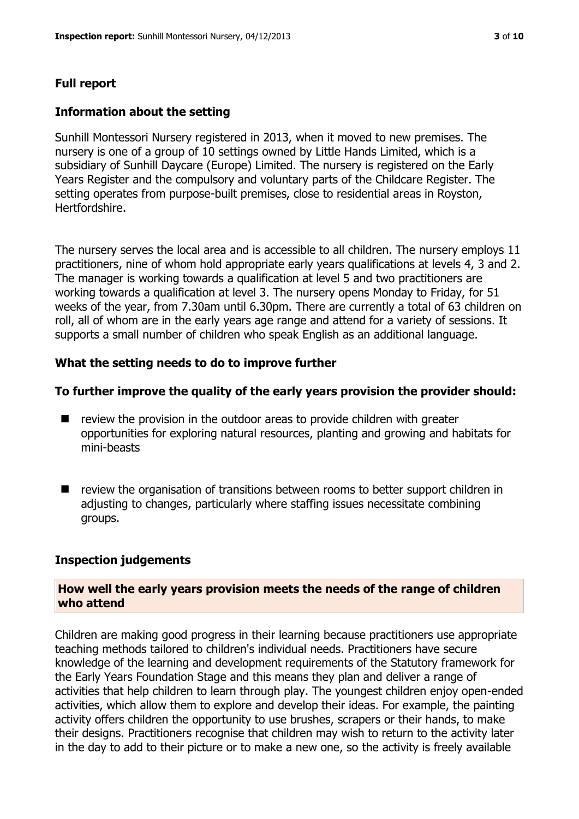#### **Full report**

#### **Information about the setting**

Sunhill Montessori Nursery registered in 2013, when it moved to new premises. The nursery is one of a group of 10 settings owned by Little Hands Limited, which is a subsidiary of Sunhill Daycare (Europe) Limited. The nursery is registered on the Early Years Register and the compulsory and voluntary parts of the Childcare Register. The setting operates from purpose-built premises, close to residential areas in Royston, Hertfordshire.

The nursery serves the local area and is accessible to all children. The nursery employs 11 practitioners, nine of whom hold appropriate early years qualifications at levels 4, 3 and 2. The manager is working towards a qualification at level 5 and two practitioners are working towards a qualification at level 3. The nursery opens Monday to Friday, for 51 weeks of the year, from 7.30am until 6.30pm. There are currently a total of 63 children on roll, all of whom are in the early years age range and attend for a variety of sessions. It supports a small number of children who speak English as an additional language.

#### **What the setting needs to do to improve further**

#### **To further improve the quality of the early years provision the provider should:**

- $\blacksquare$  review the provision in the outdoor areas to provide children with greater opportunities for exploring natural resources, planting and growing and habitats for mini-beasts
- **T** review the organisation of transitions between rooms to better support children in adjusting to changes, particularly where staffing issues necessitate combining groups.

#### **Inspection judgements**

#### **How well the early years provision meets the needs of the range of children who attend**

Children are making good progress in their learning because practitioners use appropriate teaching methods tailored to children's individual needs. Practitioners have secure knowledge of the learning and development requirements of the Statutory framework for the Early Years Foundation Stage and this means they plan and deliver a range of activities that help children to learn through play. The youngest children enjoy open-ended activities, which allow them to explore and develop their ideas. For example, the painting activity offers children the opportunity to use brushes, scrapers or their hands, to make their designs. Practitioners recognise that children may wish to return to the activity later in the day to add to their picture or to make a new one, so the activity is freely available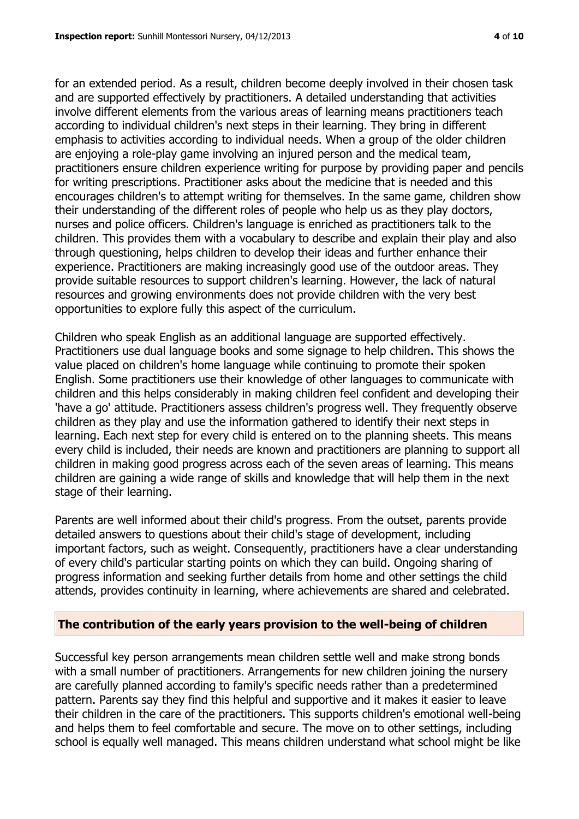for an extended period. As a result, children become deeply involved in their chosen task and are supported effectively by practitioners. A detailed understanding that activities involve different elements from the various areas of learning means practitioners teach according to individual children's next steps in their learning. They bring in different emphasis to activities according to individual needs. When a group of the older children are enjoying a role-play game involving an injured person and the medical team, practitioners ensure children experience writing for purpose by providing paper and pencils for writing prescriptions. Practitioner asks about the medicine that is needed and this encourages children's to attempt writing for themselves. In the same game, children show their understanding of the different roles of people who help us as they play doctors, nurses and police officers. Children's language is enriched as practitioners talk to the children. This provides them with a vocabulary to describe and explain their play and also through questioning, helps children to develop their ideas and further enhance their experience. Practitioners are making increasingly good use of the outdoor areas. They provide suitable resources to support children's learning. However, the lack of natural resources and growing environments does not provide children with the very best opportunities to explore fully this aspect of the curriculum.

Children who speak English as an additional language are supported effectively. Practitioners use dual language books and some signage to help children. This shows the value placed on children's home language while continuing to promote their spoken English. Some practitioners use their knowledge of other languages to communicate with children and this helps considerably in making children feel confident and developing their 'have a go' attitude. Practitioners assess children's progress well. They frequently observe children as they play and use the information gathered to identify their next steps in learning. Each next step for every child is entered on to the planning sheets. This means every child is included, their needs are known and practitioners are planning to support all children in making good progress across each of the seven areas of learning. This means children are gaining a wide range of skills and knowledge that will help them in the next stage of their learning.

Parents are well informed about their child's progress. From the outset, parents provide detailed answers to questions about their child's stage of development, including important factors, such as weight. Consequently, practitioners have a clear understanding of every child's particular starting points on which they can build. Ongoing sharing of progress information and seeking further details from home and other settings the child attends, provides continuity in learning, where achievements are shared and celebrated.

#### **The contribution of the early years provision to the well-being of children**

Successful key person arrangements mean children settle well and make strong bonds with a small number of practitioners. Arrangements for new children joining the nursery are carefully planned according to family's specific needs rather than a predetermined pattern. Parents say they find this helpful and supportive and it makes it easier to leave their children in the care of the practitioners. This supports children's emotional well-being and helps them to feel comfortable and secure. The move on to other settings, including school is equally well managed. This means children understand what school might be like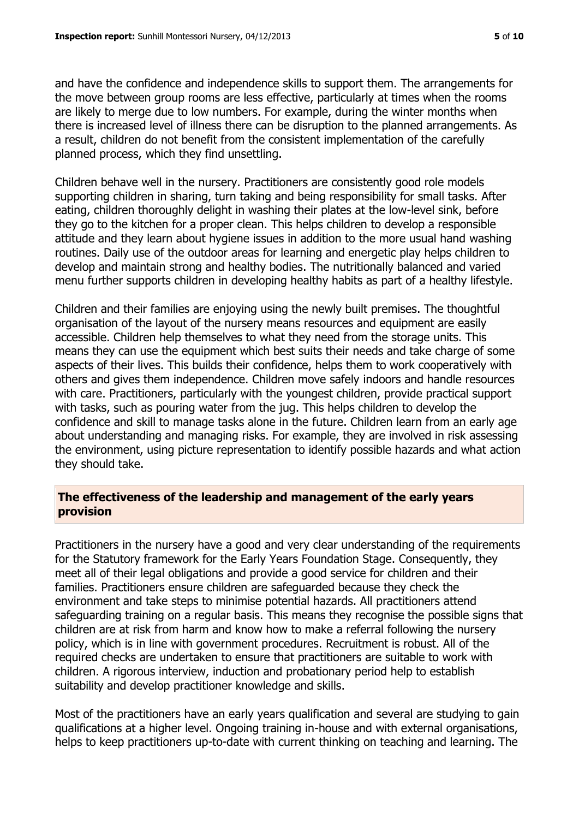and have the confidence and independence skills to support them. The arrangements for the move between group rooms are less effective, particularly at times when the rooms are likely to merge due to low numbers. For example, during the winter months when there is increased level of illness there can be disruption to the planned arrangements. As a result, children do not benefit from the consistent implementation of the carefully planned process, which they find unsettling.

Children behave well in the nursery. Practitioners are consistently good role models supporting children in sharing, turn taking and being responsibility for small tasks. After eating, children thoroughly delight in washing their plates at the low-level sink, before they go to the kitchen for a proper clean. This helps children to develop a responsible attitude and they learn about hygiene issues in addition to the more usual hand washing routines. Daily use of the outdoor areas for learning and energetic play helps children to develop and maintain strong and healthy bodies. The nutritionally balanced and varied menu further supports children in developing healthy habits as part of a healthy lifestyle.

Children and their families are enjoying using the newly built premises. The thoughtful organisation of the layout of the nursery means resources and equipment are easily accessible. Children help themselves to what they need from the storage units. This means they can use the equipment which best suits their needs and take charge of some aspects of their lives. This builds their confidence, helps them to work cooperatively with others and gives them independence. Children move safely indoors and handle resources with care. Practitioners, particularly with the youngest children, provide practical support with tasks, such as pouring water from the jug. This helps children to develop the confidence and skill to manage tasks alone in the future. Children learn from an early age about understanding and managing risks. For example, they are involved in risk assessing the environment, using picture representation to identify possible hazards and what action they should take.

### **The effectiveness of the leadership and management of the early years provision**

Practitioners in the nursery have a good and very clear understanding of the requirements for the Statutory framework for the Early Years Foundation Stage. Consequently, they meet all of their legal obligations and provide a good service for children and their families. Practitioners ensure children are safeguarded because they check the environment and take steps to minimise potential hazards. All practitioners attend safeguarding training on a regular basis. This means they recognise the possible signs that children are at risk from harm and know how to make a referral following the nursery policy, which is in line with government procedures. Recruitment is robust. All of the required checks are undertaken to ensure that practitioners are suitable to work with children. A rigorous interview, induction and probationary period help to establish suitability and develop practitioner knowledge and skills.

Most of the practitioners have an early years qualification and several are studying to gain qualifications at a higher level. Ongoing training in-house and with external organisations, helps to keep practitioners up-to-date with current thinking on teaching and learning. The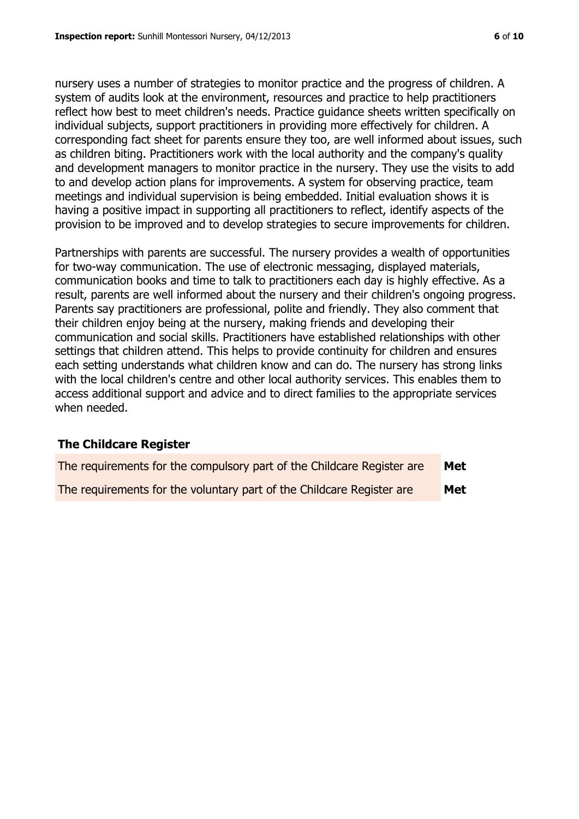nursery uses a number of strategies to monitor practice and the progress of children. A system of audits look at the environment, resources and practice to help practitioners reflect how best to meet children's needs. Practice guidance sheets written specifically on individual subjects, support practitioners in providing more effectively for children. A corresponding fact sheet for parents ensure they too, are well informed about issues, such as children biting. Practitioners work with the local authority and the company's quality and development managers to monitor practice in the nursery. They use the visits to add to and develop action plans for improvements. A system for observing practice, team meetings and individual supervision is being embedded. Initial evaluation shows it is having a positive impact in supporting all practitioners to reflect, identify aspects of the provision to be improved and to develop strategies to secure improvements for children.

Partnerships with parents are successful. The nursery provides a wealth of opportunities for two-way communication. The use of electronic messaging, displayed materials, communication books and time to talk to practitioners each day is highly effective. As a result, parents are well informed about the nursery and their children's ongoing progress. Parents say practitioners are professional, polite and friendly. They also comment that their children enjoy being at the nursery, making friends and developing their communication and social skills. Practitioners have established relationships with other settings that children attend. This helps to provide continuity for children and ensures each setting understands what children know and can do. The nursery has strong links with the local children's centre and other local authority services. This enables them to access additional support and advice and to direct families to the appropriate services when needed.

#### **The Childcare Register**

| The requirements for the compulsory part of the Childcare Register are | Met        |
|------------------------------------------------------------------------|------------|
| The requirements for the voluntary part of the Childcare Register are  | <b>Met</b> |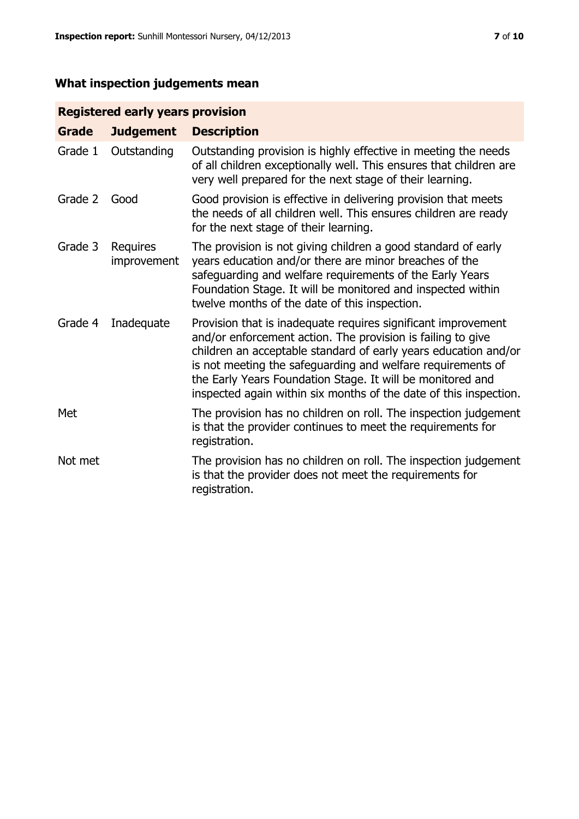# **What inspection judgements mean**

# **Registered early years provision**

| <b>Grade</b> | <b>Judgement</b>        | <b>Description</b>                                                                                                                                                                                                                                                                                                                                                                                |
|--------------|-------------------------|---------------------------------------------------------------------------------------------------------------------------------------------------------------------------------------------------------------------------------------------------------------------------------------------------------------------------------------------------------------------------------------------------|
| Grade 1      | Outstanding             | Outstanding provision is highly effective in meeting the needs<br>of all children exceptionally well. This ensures that children are<br>very well prepared for the next stage of their learning.                                                                                                                                                                                                  |
| Grade 2      | Good                    | Good provision is effective in delivering provision that meets<br>the needs of all children well. This ensures children are ready<br>for the next stage of their learning.                                                                                                                                                                                                                        |
| Grade 3      | Requires<br>improvement | The provision is not giving children a good standard of early<br>years education and/or there are minor breaches of the<br>safeguarding and welfare requirements of the Early Years<br>Foundation Stage. It will be monitored and inspected within<br>twelve months of the date of this inspection.                                                                                               |
| Grade 4      | Inadequate              | Provision that is inadequate requires significant improvement<br>and/or enforcement action. The provision is failing to give<br>children an acceptable standard of early years education and/or<br>is not meeting the safeguarding and welfare requirements of<br>the Early Years Foundation Stage. It will be monitored and<br>inspected again within six months of the date of this inspection. |
| Met          |                         | The provision has no children on roll. The inspection judgement<br>is that the provider continues to meet the requirements for<br>registration.                                                                                                                                                                                                                                                   |
| Not met      |                         | The provision has no children on roll. The inspection judgement<br>is that the provider does not meet the requirements for<br>registration.                                                                                                                                                                                                                                                       |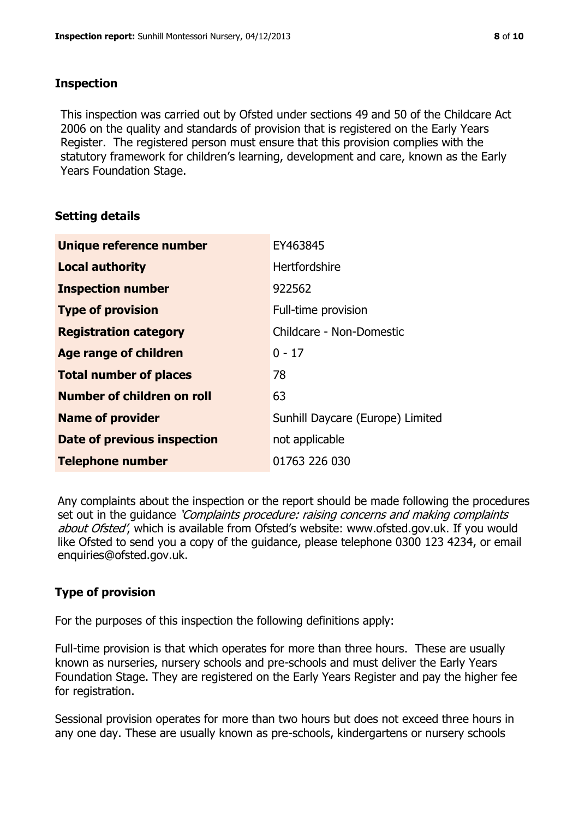# **Inspection**

This inspection was carried out by Ofsted under sections 49 and 50 of the Childcare Act 2006 on the quality and standards of provision that is registered on the Early Years Register. The registered person must ensure that this provision complies with the statutory framework for children's learning, development and care, known as the Early Years Foundation Stage.

# **Setting details**

| Unique reference number            | EY463845                         |
|------------------------------------|----------------------------------|
| <b>Local authority</b>             | Hertfordshire                    |
| <b>Inspection number</b>           | 922562                           |
| <b>Type of provision</b>           | Full-time provision              |
| <b>Registration category</b>       | Childcare - Non-Domestic         |
| <b>Age range of children</b>       | $0 - 17$                         |
| <b>Total number of places</b>      | 78                               |
| Number of children on roll         | 63                               |
| <b>Name of provider</b>            | Sunhill Daycare (Europe) Limited |
| <b>Date of previous inspection</b> | not applicable                   |
| <b>Telephone number</b>            | 01763 226 030                    |

Any complaints about the inspection or the report should be made following the procedures set out in the guidance *'Complaints procedure: raising concerns and making complaints* about Ofsted', which is available from Ofsted's website: www.ofsted.gov.uk. If you would like Ofsted to send you a copy of the guidance, please telephone 0300 123 4234, or email enquiries@ofsted.gov.uk.

# **Type of provision**

For the purposes of this inspection the following definitions apply:

Full-time provision is that which operates for more than three hours. These are usually known as nurseries, nursery schools and pre-schools and must deliver the Early Years Foundation Stage. They are registered on the Early Years Register and pay the higher fee for registration.

Sessional provision operates for more than two hours but does not exceed three hours in any one day. These are usually known as pre-schools, kindergartens or nursery schools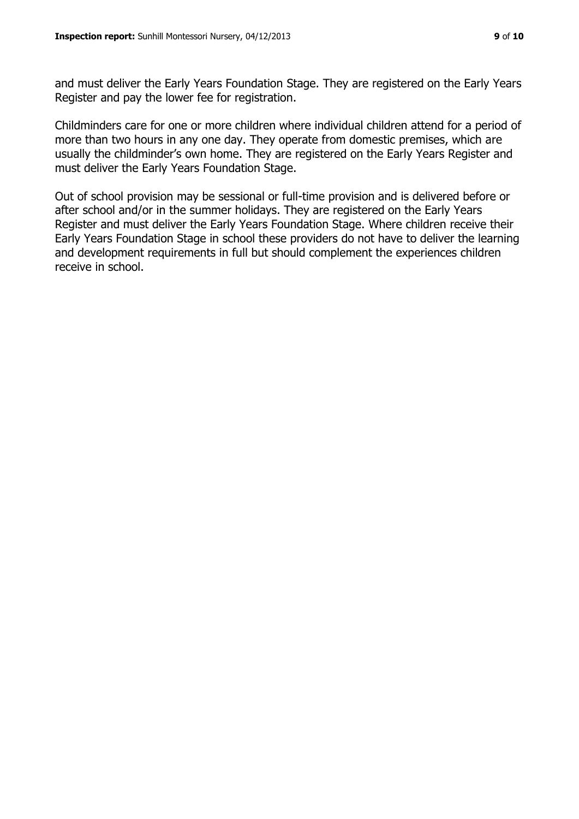and must deliver the Early Years Foundation Stage. They are registered on the Early Years Register and pay the lower fee for registration.

Childminders care for one or more children where individual children attend for a period of more than two hours in any one day. They operate from domestic premises, which are usually the childminder's own home. They are registered on the Early Years Register and must deliver the Early Years Foundation Stage.

Out of school provision may be sessional or full-time provision and is delivered before or after school and/or in the summer holidays. They are registered on the Early Years Register and must deliver the Early Years Foundation Stage. Where children receive their Early Years Foundation Stage in school these providers do not have to deliver the learning and development requirements in full but should complement the experiences children receive in school.